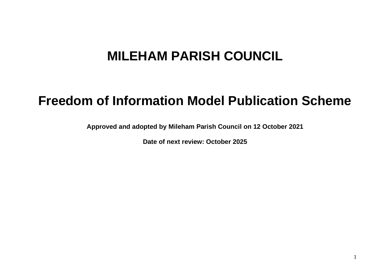## **MILEHAM PARISH COUNCIL**

## **Freedom of Information Model Publication Scheme**

**Approved and adopted by Mileham Parish Council on 12 October 2021**

**Date of next review: October 2025**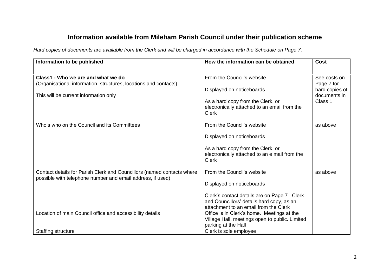## **Information available from Mileham Parish Council under their publication scheme**

*Hard copies of documents are available from the Clerk and will be charged in accordance with the Schedule on Page 7.* 

| Information to be published                                            | How the information can be obtained                                                | <b>Cost</b>    |
|------------------------------------------------------------------------|------------------------------------------------------------------------------------|----------------|
|                                                                        |                                                                                    |                |
| Class1 - Who we are and what we do                                     | From the Council's website                                                         | See costs on   |
| (Organisational information, structures, locations and contacts)       |                                                                                    | Page 7 for     |
|                                                                        | Displayed on noticeboards                                                          | hard copies of |
| This will be current information only                                  |                                                                                    | documents in   |
|                                                                        | As a hard copy from the Clerk, or                                                  | Class 1        |
|                                                                        | electronically attached to an email from the                                       |                |
|                                                                        | <b>Clerk</b>                                                                       |                |
| Who's who on the Council and its Committees                            | From the Council's website                                                         | as above       |
|                                                                        |                                                                                    |                |
|                                                                        | Displayed on noticeboards                                                          |                |
|                                                                        |                                                                                    |                |
|                                                                        | As a hard copy from the Clerk, or<br>electronically attached to an e mail from the |                |
|                                                                        | <b>Clerk</b>                                                                       |                |
|                                                                        |                                                                                    |                |
| Contact details for Parish Clerk and Councillors (named contacts where | From the Council's website                                                         | as above       |
| possible with telephone number and email address, if used)             |                                                                                    |                |
|                                                                        | Displayed on noticeboards                                                          |                |
|                                                                        | Clerk's contact details are on Page 7. Clerk                                       |                |
|                                                                        | and Councillors' details hard copy, as an                                          |                |
|                                                                        | attachment to an email from the Clerk                                              |                |
| Location of main Council office and accessibility details              | Office is in Clerk's home. Meetings at the                                         |                |
|                                                                        | Village Hall, meetings open to public. Limited                                     |                |
|                                                                        | parking at the Hall                                                                |                |
| <b>Staffing structure</b>                                              | Clerk is sole employee                                                             |                |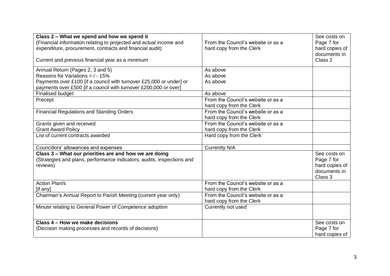| Class 2 - What we spend and how we spend it<br>(Financial information relating to projected and actual income and<br>expenditure, procurement, contracts and financial audit)<br>Current and previous financial year as a minimum | From the Council's website or as a<br>hard copy from the Clerk | See costs on<br>Page 7 for<br>hard copies of<br>documents in<br>Class 2 |
|-----------------------------------------------------------------------------------------------------------------------------------------------------------------------------------------------------------------------------------|----------------------------------------------------------------|-------------------------------------------------------------------------|
| Annual Return (Pages 2, 3 and 5)                                                                                                                                                                                                  | As above                                                       |                                                                         |
| Reasons for Variations = $/ - 15\%$                                                                                                                                                                                               | As above                                                       |                                                                         |
| Payments over £100 [if a council with turnover £25,000 or under] or                                                                                                                                                               | As above                                                       |                                                                         |
| payments over £500 [if a council with turnover £200,000 or over]                                                                                                                                                                  |                                                                |                                                                         |
| <b>Finalised budget</b>                                                                                                                                                                                                           | As above                                                       |                                                                         |
| Precept                                                                                                                                                                                                                           | From the Council's website or as a                             |                                                                         |
|                                                                                                                                                                                                                                   | hard copy from the Clerk                                       |                                                                         |
| <b>Financial Regulations and Standing Orders</b>                                                                                                                                                                                  | From the Council's website or as a                             |                                                                         |
|                                                                                                                                                                                                                                   | hard copy from the Clerk                                       |                                                                         |
| Grants given and received                                                                                                                                                                                                         | From the Council's website or as a                             |                                                                         |
| <b>Grant Award Policy</b>                                                                                                                                                                                                         | hard copy from the Clerk                                       |                                                                         |
| List of current contracts awarded                                                                                                                                                                                                 | Hard copy from the Clerk                                       |                                                                         |
| Councillors' allowances and expenses                                                                                                                                                                                              | Currently N/A                                                  |                                                                         |
| Class 3 - What our priorities are and how we are doing                                                                                                                                                                            |                                                                | See costs on                                                            |
| (Strategies and plans, performance indicators, audits, inspections and                                                                                                                                                            |                                                                | Page 7 for                                                              |
| reviews)                                                                                                                                                                                                                          |                                                                | hard copies of                                                          |
|                                                                                                                                                                                                                                   |                                                                | documents in                                                            |
|                                                                                                                                                                                                                                   |                                                                | Class 3                                                                 |
| <b>Action Plan/s</b>                                                                                                                                                                                                              | From the Council's website or as a                             |                                                                         |
| [if any]                                                                                                                                                                                                                          | hard copy from the Clerk                                       |                                                                         |
| Chairman's Annual Report to Parish Meeting (current year only)                                                                                                                                                                    | From the Council's website or as a                             |                                                                         |
|                                                                                                                                                                                                                                   | hard copy from the Clerk                                       |                                                                         |
| Minute relating to General Power of Competence adoption                                                                                                                                                                           | Currently not used                                             |                                                                         |
|                                                                                                                                                                                                                                   |                                                                |                                                                         |
| Class 4 – How we make decisions                                                                                                                                                                                                   |                                                                | See costs on                                                            |
| (Decision making processes and records of decisions)                                                                                                                                                                              |                                                                | Page 7 for                                                              |
|                                                                                                                                                                                                                                   |                                                                | hard copies of                                                          |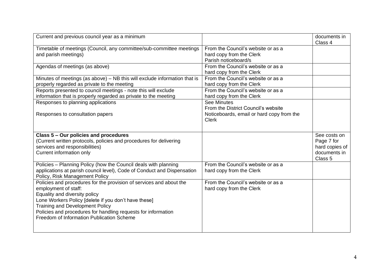| Current and previous council year as a minimum                                                                                                                                                                                                                                                                                               |                                                                                                      | documents in<br>Class 4                                                 |
|----------------------------------------------------------------------------------------------------------------------------------------------------------------------------------------------------------------------------------------------------------------------------------------------------------------------------------------------|------------------------------------------------------------------------------------------------------|-------------------------------------------------------------------------|
| Timetable of meetings (Council, any committee/sub-committee meetings<br>and parish meetings)                                                                                                                                                                                                                                                 | From the Council's website or as a<br>hard copy from the Clerk<br>Parish noticeboard/s               |                                                                         |
| Agendas of meetings (as above)                                                                                                                                                                                                                                                                                                               | From the Council's website or as a<br>hard copy from the Clerk                                       |                                                                         |
| Minutes of meetings (as above) – NB this will exclude information that is<br>properly regarded as private to the meeting<br>Reports presented to council meetings - note this will exclude                                                                                                                                                   | From the Council's website or as a<br>hard copy from the Clerk<br>From the Council's website or as a |                                                                         |
| information that is properly regarded as private to the meeting<br>Responses to planning applications                                                                                                                                                                                                                                        | hard copy from the Clerk<br><b>See Minutes</b><br>From the District Council's website                |                                                                         |
| Responses to consultation papers                                                                                                                                                                                                                                                                                                             | Noticeboards, email or hard copy from the<br><b>Clerk</b>                                            |                                                                         |
| Class 5 - Our policies and procedures<br>(Current written protocols, policies and procedures for delivering<br>services and responsibilities)<br>Current information only                                                                                                                                                                    |                                                                                                      | See costs on<br>Page 7 for<br>hard copies of<br>documents in<br>Class 5 |
| Policies - Planning Policy (how the Council deals with planning<br>applications at parish council level), Code of Conduct and Dispensation<br>Policy, Risk Management Policy                                                                                                                                                                 | From the Council's website or as a<br>hard copy from the Clerk                                       |                                                                         |
| Policies and procedures for the provision of services and about the<br>employment of staff:<br>Equality and diversity policy<br>Lone Workers Policy [delete if you don't have these]<br><b>Training and Development Policy</b><br>Policies and procedures for handling requests for information<br>Freedom of Information Publication Scheme | From the Council's website or as a<br>hard copy from the Clerk                                       |                                                                         |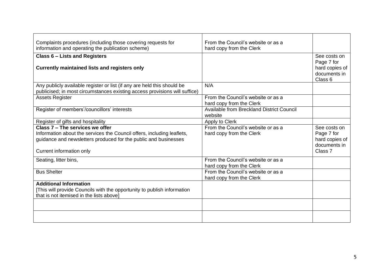| Complaints procedures (including those covering requests for               | From the Council's website or as a        |                    |
|----------------------------------------------------------------------------|-------------------------------------------|--------------------|
| information and operating the publication scheme)                          | hard copy from the Clerk                  |                    |
| <b>Class 6 - Lists and Registers</b>                                       |                                           | See costs on       |
|                                                                            |                                           | Page 7 for         |
| Currently maintained lists and registers only                              |                                           | hard copies of     |
|                                                                            |                                           | documents in       |
|                                                                            |                                           | Class 6            |
| Any publicly available register or list (if any are held this should be    | N/A                                       |                    |
| publicised; in most circumstances existing access provisions will suffice) |                                           |                    |
| <b>Assets Register</b>                                                     | From the Council's website or as a        |                    |
|                                                                            | hard copy from the Clerk                  |                    |
| Register of members'/councillors' interests                                | Available from Breckland District Council |                    |
|                                                                            | website                                   |                    |
| Register of gifts and hospitality                                          | Apply to Clerk                            |                    |
| Class 7 - The services we offer                                            | From the Council's website or as a        | See costs on       |
| Information about the services the Council offers, including leaflets,     | hard copy from the Clerk                  | Page 7 for         |
| guidance and newsletters produced for the public and businesses            |                                           | hard copies of     |
|                                                                            |                                           | documents in       |
| Current information only                                                   |                                           | Class <sub>7</sub> |
| Seating, litter bins,                                                      | From the Council's website or as a        |                    |
|                                                                            | hard copy from the Clerk                  |                    |
| <b>Bus Shelter</b>                                                         | From the Council's website or as a        |                    |
|                                                                            | hard copy from the Clerk                  |                    |
| <b>Additional Information</b>                                              |                                           |                    |
| [This will provide Councils with the opportunity to publish information    |                                           |                    |
| that is not itemised in the lists above]                                   |                                           |                    |
|                                                                            |                                           |                    |
|                                                                            |                                           |                    |
|                                                                            |                                           |                    |
|                                                                            |                                           |                    |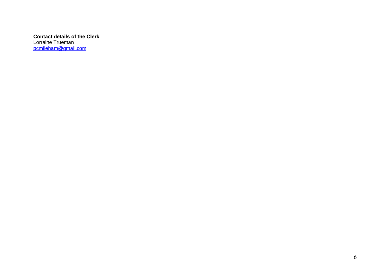**Contact details of the Clerk** Lorraine Trueman [pcmileham@gmail.com](mailto:pcmileham@gmail.com)